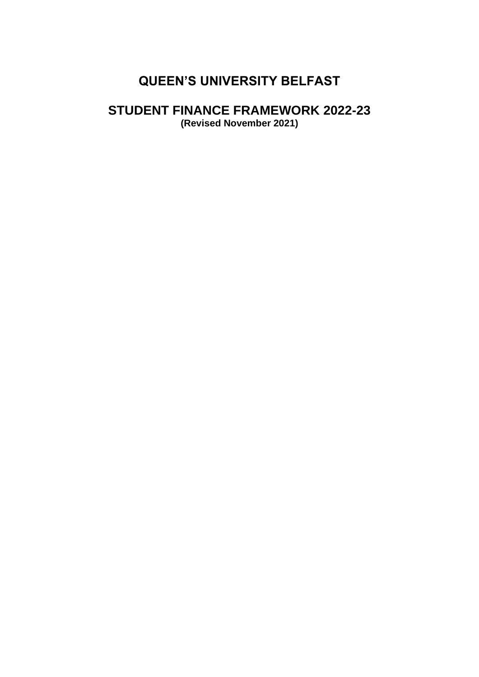# **QUEEN'S UNIVERSITY BELFAST**

# **STUDENT FINANCE FRAMEWORK 2022-23**

**(Revised November 2021)**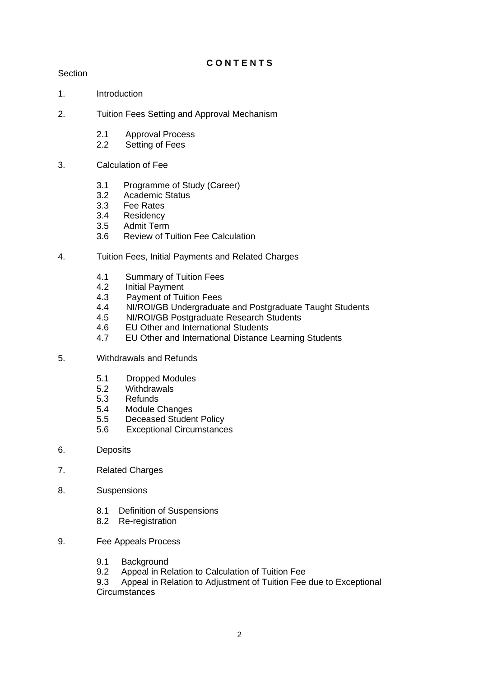# **C O N T E N T S**

# **Section**

- 1. Introduction
- 2. Tuition Fees Setting and Approval Mechanism
	- 2.1 Approval Process
	- 2.2 Setting of Fees
- 3. Calculation of Fee
	- 3.1 Programme of Study (Career)
	- 3.2 Academic Status
	- 3.3 Fee Rates<br>3.4 Residency
	- **Residency**
	- 3.5 Admit Term
	- 3.6 Review of Tuition Fee Calculation
- 4. Tuition Fees, Initial Payments and Related Charges
	- 4.1 Summary of Tuition Fees<br>4.2 Initial Pavment
	- 4.2 Initial Payment<br>4.3 Payment of Tui
	- Payment of Tuition Fees
	- 4.4NI/ROI/GB Undergraduate and Postgraduate Taught Students
	- 4.5 NI/ROI/GB Postgraduate Research Students
	- 4.6 EU Other and International Students
	- 4.7 EU Other and International Distance Learning Students
- 5. Withdrawals and Refunds
	- 5.1 Dropped Modules
	- 5.2 Withdrawals
	- 5.3 Refunds
	- 5.4 Module Changes
	- 5.5 Deceased Student Policy
	- 5.6 Exceptional Circumstances
- 6. Deposits
- 7. Related Charges
- 8. Suspensions
	- 8.1 Definition of Suspensions<br>8.2 Re-registration
	- Re-registration
- 9. Fee Appeals Process
	- 9.1 Background
	- 9.2 Appeal in Relation to Calculation of Tuition Fee

9.3 Appeal in Relation to Adjustment of Tuition Fee due to Exceptional **Circumstances**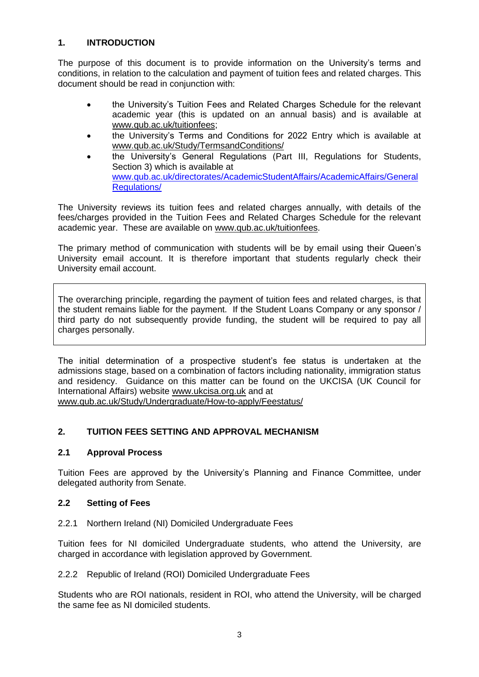# **1. INTRODUCTION**

The purpose of this document is to provide information on the University's terms and conditions, in relation to the calculation and payment of tuition fees and related charges. This document should be read in conjunction with:

- the University's Tuition Fees and Related Charges Schedule for the relevant academic year (this is updated on an annual basis) and is available at www.qub.ac.uk/tuitionfees;
- the University's Terms and Conditions for 2022 Entry which is available at www.qub.ac.uk/Study/TermsandConditions/
- the University's General Regulations (Part III, Regulations for Students, Section 3) which is available at [www.qub.ac.uk/directorates/AcademicStudentAffairs/AcademicAffairs/General](http://www.qub.ac.uk/directorates/AcademicStudentAffairs/AcademicAffairs/GeneralRegulations/) [Regulations/](http://www.qub.ac.uk/directorates/AcademicStudentAffairs/AcademicAffairs/GeneralRegulations/)

The University reviews its tuition fees and related charges annually, with details of the fees/charges provided in the Tuition Fees and Related Charges Schedule for the relevant academic year. These are available on [www.qub.ac.uk/tuitionfees.](http://www.qub.ac.uk/tuitionfees)

The primary method of communication with students will be by email using their Queen's University email account. It is therefore important that students regularly check their University email account.

The overarching principle, regarding the payment of tuition fees and related charges, is that the student remains liable for the payment. If the Student Loans Company or any sponsor / third party do not subsequently provide funding, the student will be required to pay all charges personally.

The initial determination of a prospective student's fee status is undertaken at the admissions stage, based on a combination of factors including nationality, immigration status and residency. Guidance on this matter can be found on the UKCISA (UK Council for International Affairs) website [www.ukcisa.org.uk](http://www.ukcisa.org.uk/) and at

[www.qub.ac.uk/Study/Undergraduate/How-to-apply/Feestatus/](http://www.qub.ac.uk/Study/Undergraduate/How-to-apply/Feestatus/)

# **2. TUITION FEES SETTING AND APPROVAL MECHANISM**

# **2.1 Approval Process**

Tuition Fees are approved by the University's Planning and Finance Committee, under delegated authority from Senate.

# **2.2 Setting of Fees**

2.2.1 Northern Ireland (NI) Domiciled Undergraduate Fees

Tuition fees for NI domiciled Undergraduate students, who attend the University, are charged in accordance with legislation approved by Government.

2.2.2 Republic of Ireland (ROI) Domiciled Undergraduate Fees

Students who are ROI nationals, resident in ROI, who attend the University, will be charged the same fee as NI domiciled students.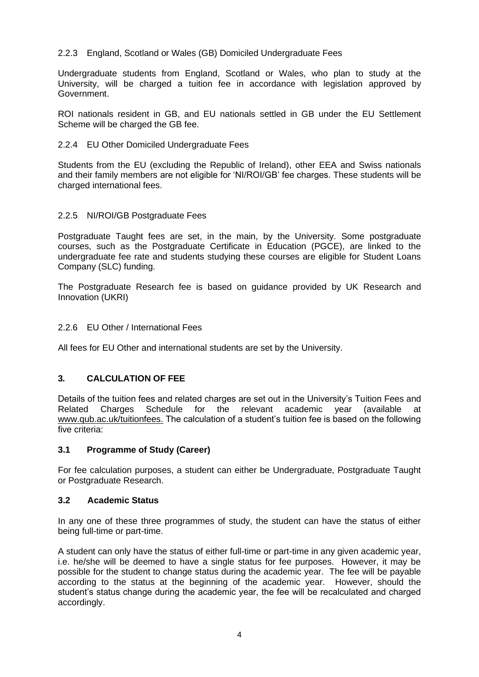# 2.2.3 England, Scotland or Wales (GB) Domiciled Undergraduate Fees

Undergraduate students from England, Scotland or Wales, who plan to study at the University, will be charged a tuition fee in accordance with legislation approved by Government.

ROI nationals resident in GB, and EU nationals settled in GB under the EU Settlement Scheme will be charged the GB fee.

# 2.2.4 EU Other Domiciled Undergraduate Fees

Students from the EU (excluding the Republic of Ireland), other EEA and Swiss nationals and their family members are not eligible for 'NI/ROI/GB' fee charges. These students will be charged international fees.

# 2.2.5 NI/ROI/GB Postgraduate Fees

Postgraduate Taught fees are set, in the main, by the University. Some postgraduate courses, such as the Postgraduate Certificate in Education (PGCE), are linked to the undergraduate fee rate and students studying these courses are eligible for Student Loans Company (SLC) funding.

The Postgraduate Research fee is based on guidance provided by UK Research and Innovation (UKRI)

# 2.2.6 EU Other / International Fees

All fees for EU Other and international students are set by the University.

# **3***.* **CALCULATION OF FEE**

Details of the tuition fees and related charges are set out in the University's Tuition Fees and Related Charges Schedule for the relevant academic year (available at www.qub.ac.uk/tuitionfees. The calculation of a student's tuition fee is based on the following five criteria:

# **3.1 Programme of Study (Career)**

For fee calculation purposes, a student can either be Undergraduate, Postgraduate Taught or Postgraduate Research.

# **3.2 Academic Status**

In any one of these three programmes of study, the student can have the status of either being full-time or part-time.

A student can only have the status of either full-time or part-time in any given academic year, i.e. he/she will be deemed to have a single status for fee purposes. However, it may be possible for the student to change status during the academic year. The fee will be payable according to the status at the beginning of the academic year. However, should the student's status change during the academic year, the fee will be recalculated and charged accordingly.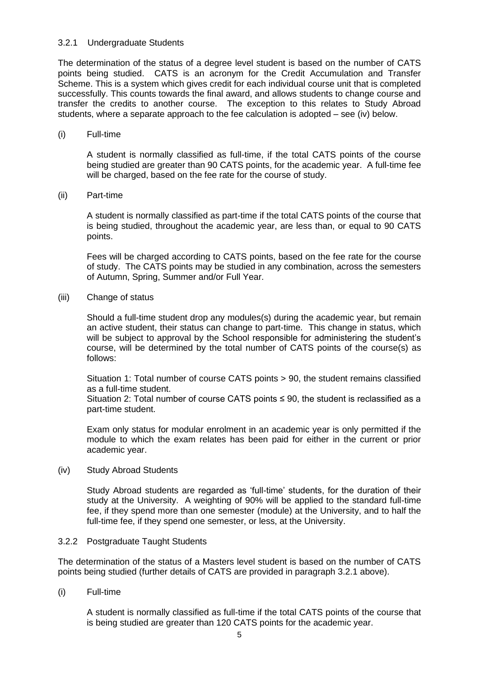#### 3.2.1 Undergraduate Students

The determination of the status of a degree level student is based on the number of CATS points being studied. CATS is an acronym for the Credit Accumulation and Transfer Scheme. This is a system which gives credit for each individual course unit that is completed successfully. This counts towards the final award, and allows students to change course and transfer the credits to another course. The exception to this relates to Study Abroad students, where a separate approach to the fee calculation is adopted – see (iv) below.

#### (i) Full-time

A student is normally classified as full-time, if the total CATS points of the course being studied are greater than 90 CATS points, for the academic year. A full-time fee will be charged, based on the fee rate for the course of study.

(ii) Part-time

A student is normally classified as part-time if the total CATS points of the course that is being studied, throughout the academic year, are less than, or equal to 90 CATS points.

Fees will be charged according to CATS points, based on the fee rate for the course of study. The CATS points may be studied in any combination, across the semesters of Autumn, Spring, Summer and/or Full Year.

(iii) Change of status

Should a full-time student drop any modules(s) during the academic year, but remain an active student, their status can change to part-time. This change in status, which will be subject to approval by the School responsible for administering the student's course, will be determined by the total number of CATS points of the course(s) as follows:

Situation 1: Total number of course CATS points > 90, the student remains classified as a full-time student.

Situation 2: Total number of course CATS points  $\leq$  90, the student is reclassified as a part-time student.

Exam only status for modular enrolment in an academic year is only permitted if the module to which the exam relates has been paid for either in the current or prior academic year.

(iv) Study Abroad Students

Study Abroad students are regarded as 'full-time' students, for the duration of their study at the University. A weighting of 90% will be applied to the standard full-time fee, if they spend more than one semester (module) at the University, and to half the full-time fee, if they spend one semester, or less, at the University.

# 3.2.2 Postgraduate Taught Students

The determination of the status of a Masters level student is based on the number of CATS points being studied (further details of CATS are provided in paragraph 3.2.1 above).

(i) Full-time

A student is normally classified as full-time if the total CATS points of the course that is being studied are greater than 120 CATS points for the academic year.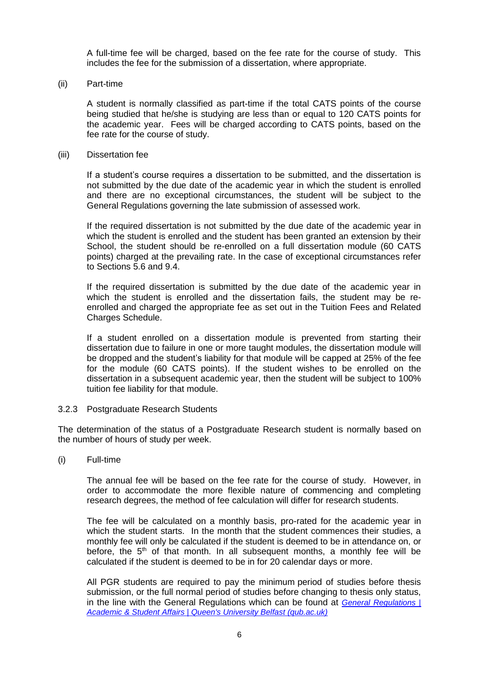A full-time fee will be charged, based on the fee rate for the course of study. This includes the fee for the submission of a dissertation, where appropriate.

(ii) Part-time

A student is normally classified as part-time if the total CATS points of the course being studied that he/she is studying are less than or equal to 120 CATS points for the academic year. Fees will be charged according to CATS points, based on the fee rate for the course of study.

#### (iii) Dissertation fee

If a student's course requires a dissertation to be submitted, and the dissertation is not submitted by the due date of the academic year in which the student is enrolled and there are no exceptional circumstances, the student will be subject to the General Regulations governing the late submission of assessed work.

If the required dissertation is not submitted by the due date of the academic year in which the student is enrolled and the student has been granted an extension by their School, the student should be re-enrolled on a full dissertation module (60 CATS points) charged at the prevailing rate. In the case of exceptional circumstances refer to Sections 5.6 and 9.4.

If the required dissertation is submitted by the due date of the academic year in which the student is enrolled and the dissertation fails, the student may be reenrolled and charged the appropriate fee as set out in the Tuition Fees and Related Charges Schedule.

If a student enrolled on a dissertation module is prevented from starting their dissertation due to failure in one or more taught modules, the dissertation module will be dropped and the student's liability for that module will be capped at 25% of the fee for the module (60 CATS points). If the student wishes to be enrolled on the dissertation in a subsequent academic year, then the student will be subject to 100% tuition fee liability for that module.

#### 3.2.3 Postgraduate Research Students

The determination of the status of a Postgraduate Research student is normally based on the number of hours of study per week.

(i) Full-time

The annual fee will be based on the fee rate for the course of study. However, in order to accommodate the more flexible nature of commencing and completing research degrees, the method of fee calculation will differ for research students.

The fee will be calculated on a monthly basis, pro-rated for the academic year in which the student starts. In the month that the student commences their studies, a monthly fee will only be calculated if the student is deemed to be in attendance on, or before, the  $5<sup>th</sup>$  of that month. In all subsequent months, a monthly fee will be calculated if the student is deemed to be in for 20 calendar days or more.

All PGR students are required to pay the minimum period of studies before thesis submission, or the full normal period of studies before changing to thesis only status, in the line with the General Regulations which can be found at *[General Regulations |](https://www.qub.ac.uk/directorates/AcademicStudentAffairs/AcademicAffairs/GeneralRegulations/)  [Academic & Student Affairs | Queen's University Belfast \(qub.ac.uk\)](https://www.qub.ac.uk/directorates/AcademicStudentAffairs/AcademicAffairs/GeneralRegulations/)*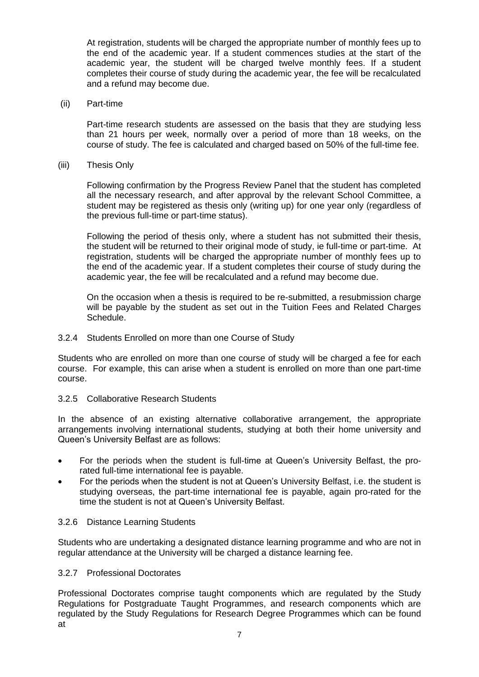At registration, students will be charged the appropriate number of monthly fees up to the end of the academic year. If a student commences studies at the start of the academic year, the student will be charged twelve monthly fees. If a student completes their course of study during the academic year, the fee will be recalculated and a refund may become due.

(ii) Part-time

Part-time research students are assessed on the basis that they are studying less than 21 hours per week, normally over a period of more than 18 weeks, on the course of study. The fee is calculated and charged based on 50% of the full-time fee.

(iii) Thesis Only

Following confirmation by the Progress Review Panel that the student has completed all the necessary research, and after approval by the relevant School Committee, a student may be registered as thesis only (writing up) for one year only (regardless of the previous full-time or part-time status).

Following the period of thesis only, where a student has not submitted their thesis, the student will be returned to their original mode of study, ie full-time or part-time. At registration, students will be charged the appropriate number of monthly fees up to the end of the academic year. If a student completes their course of study during the academic year, the fee will be recalculated and a refund may become due.

On the occasion when a thesis is required to be re-submitted, a resubmission charge will be payable by the student as set out in the Tuition Fees and Related Charges Schedule.

#### 3.2.4 Students Enrolled on more than one Course of Study

Students who are enrolled on more than one course of study will be charged a fee for each course. For example, this can arise when a student is enrolled on more than one part-time course.

# 3.2.5 Collaborative Research Students

In the absence of an existing alternative collaborative arrangement, the appropriate arrangements involving international students, studying at both their home university and Queen's University Belfast are as follows:

- For the periods when the student is full-time at Queen's University Belfast, the prorated full-time international fee is payable.
- For the periods when the student is not at Queen's University Belfast, i.e. the student is studying overseas, the part-time international fee is payable, again pro-rated for the time the student is not at Queen's University Belfast.

# 3.2.6 Distance Learning Students

Students who are undertaking a designated distance learning programme and who are not in regular attendance at the University will be charged a distance learning fee.

# 3.2.7 Professional Doctorates

Professional Doctorates comprise taught components which are regulated by the Study Regulations for Postgraduate Taught Programmes, and research components which are regulated by the Study Regulations for Research Degree Programmes which can be found at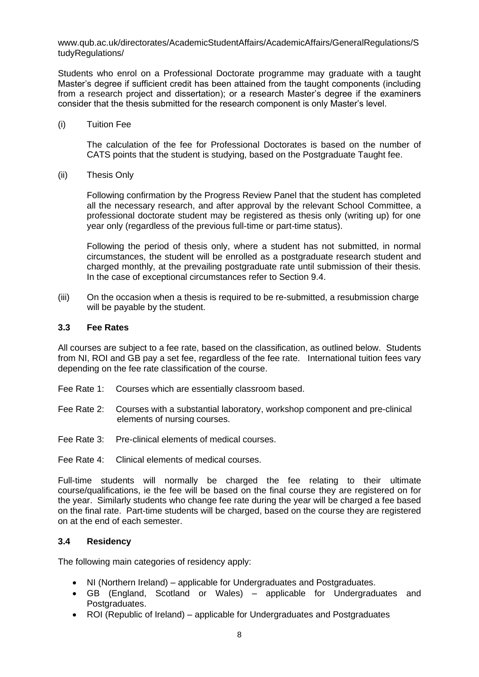www.qub.ac.uk/directorates/AcademicStudentAffairs/AcademicAffairs/GeneralRegulations/S tudyRegulations/

Students who enrol on a Professional Doctorate programme may graduate with a taught Master's degree if sufficient credit has been attained from the taught components (including from a research project and dissertation); or a research Master's degree if the examiners consider that the thesis submitted for the research component is only Master's level.

(i) Tuition Fee

The calculation of the fee for Professional Doctorates is based on the number of CATS points that the student is studying, based on the Postgraduate Taught fee.

(ii) Thesis Only

Following confirmation by the Progress Review Panel that the student has completed all the necessary research, and after approval by the relevant School Committee, a professional doctorate student may be registered as thesis only (writing up) for one year only (regardless of the previous full-time or part-time status).

Following the period of thesis only, where a student has not submitted, in normal circumstances, the student will be enrolled as a postgraduate research student and charged monthly, at the prevailing postgraduate rate until submission of their thesis. In the case of exceptional circumstances refer to Section 9.4.

(iii) On the occasion when a thesis is required to be re-submitted, a resubmission charge will be payable by the student.

#### **3.3 Fee Rates**

All courses are subject to a fee rate, based on the classification, as outlined below. Students from NI, ROI and GB pay a set fee, regardless of the fee rate. International tuition fees vary depending on the fee rate classification of the course.

- Fee Rate 1: Courses which are essentially classroom based.
- Fee Rate 2: Courses with a substantial laboratory, workshop component and pre-clinical elements of nursing courses.
- Fee Rate 3: Pre-clinical elements of medical courses.

Fee Rate 4: Clinical elements of medical courses.

Full-time students will normally be charged the fee relating to their ultimate course/qualifications, ie the fee will be based on the final course they are registered on for the year. Similarly students who change fee rate during the year will be charged a fee based on the final rate. Part-time students will be charged, based on the course they are registered on at the end of each semester.

# **3.4 Residency**

The following main categories of residency apply:

- NI (Northern Ireland) applicable for Undergraduates and Postgraduates.
- GB (England, Scotland or Wales) applicable for Undergraduates and Postgraduates.
- ROI (Republic of Ireland) applicable for Undergraduates and Postgraduates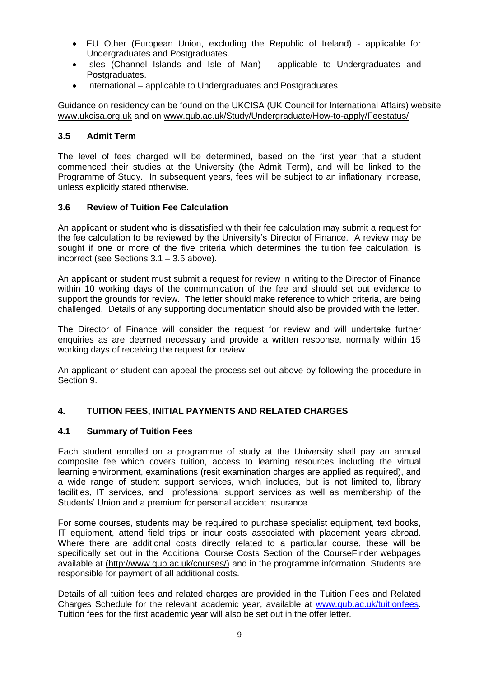- EU Other (European Union, excluding the Republic of Ireland) applicable for Undergraduates and Postgraduates.
- Isles (Channel Islands and Isle of Man) applicable to Undergraduates and Postgraduates.
- International applicable to Undergraduates and Postgraduates.

Guidance on residency can be found on the UKCISA (UK Council for International Affairs) website [www.ukcisa.org.uk](http://www.ukcisa.org.uk/) and on [www.qub.ac.uk/Study/Undergraduate/How-to-apply/Feestatus/](http://www.qub.ac.uk/Study/Undergraduate/How-to-apply/Feestatus/)

# **3.5 Admit Term**

The level of fees charged will be determined, based on the first year that a student commenced their studies at the University (the Admit Term), and will be linked to the Programme of Study. In subsequent years, fees will be subject to an inflationary increase, unless explicitly stated otherwise.

# **3.6 Review of Tuition Fee Calculation**

An applicant or student who is dissatisfied with their fee calculation may submit a request for the fee calculation to be reviewed by the University's Director of Finance. A review may be sought if one or more of the five criteria which determines the tuition fee calculation, is incorrect (see Sections 3.1 – 3.5 above).

An applicant or student must submit a request for review in writing to the Director of Finance within 10 working days of the communication of the fee and should set out evidence to support the grounds for review. The letter should make reference to which criteria, are being challenged. Details of any supporting documentation should also be provided with the letter.

The Director of Finance will consider the request for review and will undertake further enquiries as are deemed necessary and provide a written response, normally within 15 working days of receiving the request for review.

An applicant or student can appeal the process set out above by following the procedure in Section 9.

# **4. TUITION FEES, INITIAL PAYMENTS AND RELATED CHARGES**

# **4.1 Summary of Tuition Fees**

Each student enrolled on a programme of study at the University shall pay an annual composite fee which covers tuition, access to learning resources including the virtual learning environment, examinations (resit examination charges are applied as required), and a wide range of student support services, which includes, but is not limited to, library facilities, IT services, and professional support services as well as membership of the Students' Union and a premium for personal accident insurance.

For some courses, students may be required to purchase specialist equipment, text books, IT equipment, attend field trips or incur costs associated with placement years abroad. Where there are additional costs directly related to a particular course, these will be specifically set out in the Additional Course Costs Section of the CourseFinder webpages available at (http://www.qub.ac.uk/courses/) and in the programme information. Students are responsible for payment of all additional costs.

Details of all tuition fees and related charges are provided in the Tuition Fees and Related Charges Schedule for the relevant academic year, available at [www.qub.ac.uk/tuitionfees.](http://www.qub.ac.uk/tuitionfees) Tuition fees for the first academic year will also be set out in the offer letter.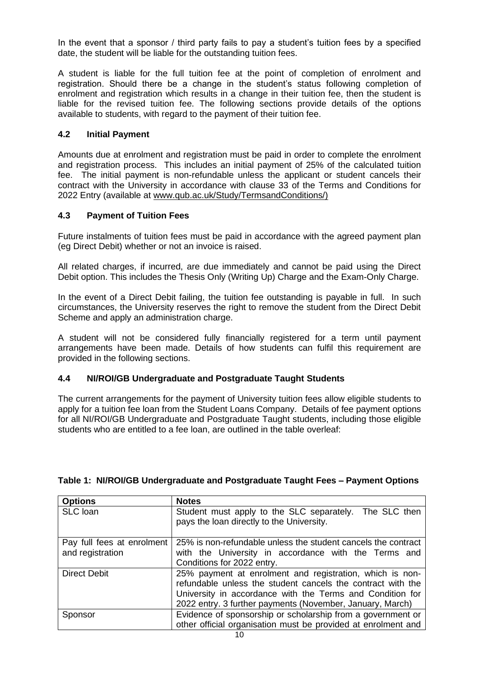In the event that a sponsor / third party fails to pay a student's tuition fees by a specified date, the student will be liable for the outstanding tuition fees.

A student is liable for the full tuition fee at the point of completion of enrolment and registration. Should there be a change in the student's status following completion of enrolment and registration which results in a change in their tuition fee, then the student is liable for the revised tuition fee. The following sections provide details of the options available to students, with regard to the payment of their tuition fee.

# **4.2 Initial Payment**

Amounts due at enrolment and registration must be paid in order to complete the enrolment and registration process. This includes an initial payment of 25% of the calculated tuition fee. The initial payment is non-refundable unless the applicant or student cancels their contract with the University in accordance with clause 33 of the Terms and Conditions for 2022 Entry (available at www.qub.ac.uk/Study/TermsandConditions/)

# **4.3 Payment of Tuition Fees**

Future instalments of tuition fees must be paid in accordance with the agreed payment plan (eg Direct Debit) whether or not an invoice is raised.

All related charges, if incurred, are due immediately and cannot be paid using the Direct Debit option. This includes the Thesis Only (Writing Up) Charge and the Exam-Only Charge.

In the event of a Direct Debit failing, the tuition fee outstanding is payable in full.In such circumstances, the University reserves the right to remove the student from the Direct Debit Scheme and apply an administration charge.

A student will not be considered fully financially registered for a term until payment arrangements have been made. Details of how students can fulfil this requirement are provided in the following sections.

# **4.4 NI/ROI/GB Undergraduate and Postgraduate Taught Students**

The current arrangements for the payment of University tuition fees allow eligible students to apply for a tuition fee loan from the Student Loans Company. Details of fee payment options for all NI/ROI/GB Undergraduate and Postgraduate Taught students, including those eligible students who are entitled to a fee loan, are outlined in the table overleaf:

| <b>Options</b>             | <b>Notes</b>                                                                                                                                                                         |  |  |  |  |
|----------------------------|--------------------------------------------------------------------------------------------------------------------------------------------------------------------------------------|--|--|--|--|
| SLC loan                   | Student must apply to the SLC separately. The SLC then<br>pays the loan directly to the University.                                                                                  |  |  |  |  |
|                            |                                                                                                                                                                                      |  |  |  |  |
| Pay full fees at enrolment | 25% is non-refundable unless the student cancels the contract                                                                                                                        |  |  |  |  |
| and registration           | with the University in accordance with the Terms and                                                                                                                                 |  |  |  |  |
|                            | Conditions for 2022 entry.                                                                                                                                                           |  |  |  |  |
| <b>Direct Debit</b>        | 25% payment at enrolment and registration, which is non-<br>refundable unless the student cancels the contract with the<br>University in accordance with the Terms and Condition for |  |  |  |  |
|                            |                                                                                                                                                                                      |  |  |  |  |
|                            | 2022 entry. 3 further payments (November, January, March)                                                                                                                            |  |  |  |  |
| Sponsor                    | Evidence of sponsorship or scholarship from a government or                                                                                                                          |  |  |  |  |
|                            | other official organisation must be provided at enrolment and                                                                                                                        |  |  |  |  |

#### **Table 1: NI/ROI/GB Undergraduate and Postgraduate Taught Fees – Payment Options**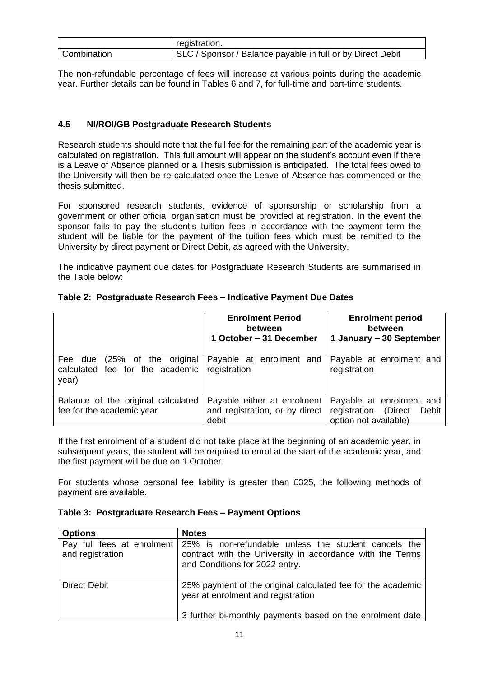|             | registration.                                              |
|-------------|------------------------------------------------------------|
| Combination | SLC / Sponsor / Balance payable in full or by Direct Debit |

The non-refundable percentage of fees will increase at various points during the academic year. Further details can be found in Tables 6 and 7, for full-time and part-time students.

# **4.5 NI/ROI/GB Postgraduate Research Students**

Research students should note that the full fee for the remaining part of the academic year is calculated on registration. This full amount will appear on the student's account even if there is a Leave of Absence planned or a Thesis submission is anticipated. The total fees owed to the University will then be re-calculated once the Leave of Absence has commenced or the thesis submitted.

For sponsored research students, evidence of sponsorship or scholarship from a government or other official organisation must be provided at registration. In the event the sponsor fails to pay the student's tuition fees in accordance with the payment term the student will be liable for the payment of the tuition fees which must be remitted to the University by direct payment or Direct Debit, as agreed with the University.

The indicative payment due dates for Postgraduate Research Students are summarised in the Table below:

|                                                                             | <b>Enrolment Period</b><br><b>Enrolment period</b><br>between<br><b>between</b><br>1 October - 31 December<br>1 January - 30 September |                                                                                    |
|-----------------------------------------------------------------------------|----------------------------------------------------------------------------------------------------------------------------------------|------------------------------------------------------------------------------------|
| (25% of the original<br>Fee due<br>calculated fee for the academic<br>year) | Payable at enrolment and<br>registration                                                                                               | Payable at enrolment and<br>registration                                           |
| Balance of the original calculated<br>fee for the academic year             | Payable either at enrolment<br>and registration, or by direct<br>debit                                                                 | Payable at enrolment and<br>registration (Direct<br>Debit<br>option not available) |

# **Table 2: Postgraduate Research Fees – Indicative Payment Due Dates**

If the first enrolment of a student did not take place at the beginning of an academic year, in subsequent years, the student will be required to enrol at the start of the academic year, and the first payment will be due on 1 October.

For students whose personal fee liability is greater than £325, the following methods of payment are available.

|  |  |  |  | Table 3: Postgraduate Research Fees - Payment Options |
|--|--|--|--|-------------------------------------------------------|
|--|--|--|--|-------------------------------------------------------|

| <b>Options</b>                                 | <b>Notes</b>                                                                                                                                                   |
|------------------------------------------------|----------------------------------------------------------------------------------------------------------------------------------------------------------------|
| Pay full fees at enrolment<br>and registration | 25% is non-refundable unless the student cancels the<br>contract with the University in accordance with the Terms<br>and Conditions for 2022 entry.            |
| Direct Debit                                   | 25% payment of the original calculated fee for the academic<br>year at enrolment and registration<br>3 further bi-monthly payments based on the enrolment date |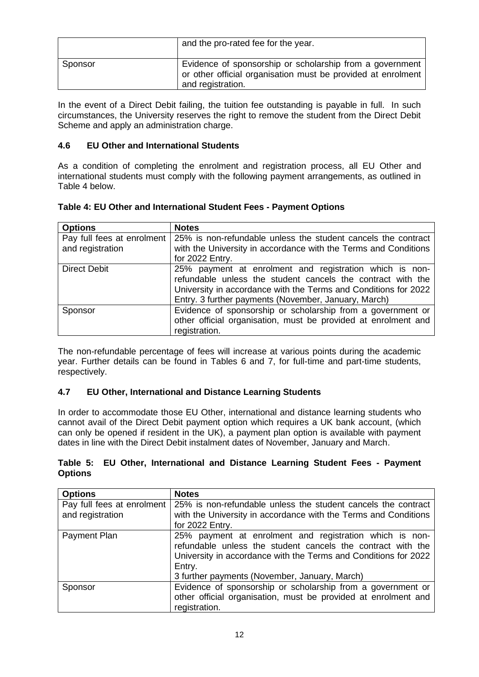|         | and the pro-rated fee for the year.                                                                                                           |
|---------|-----------------------------------------------------------------------------------------------------------------------------------------------|
| Sponsor | Evidence of sponsorship or scholarship from a government<br>or other official organisation must be provided at enrolment<br>and registration. |

In the event of a Direct Debit failing, the tuition fee outstanding is payable in full. In such circumstances, the University reserves the right to remove the student from the Direct Debit Scheme and apply an administration charge.

# **4.6 EU Other and International Students**

As a condition of completing the enrolment and registration process, all EU Other and international students must comply with the following payment arrangements, as outlined in Table 4 below.

| <b>Options</b>             | <b>Notes</b>                                                    |  |  |  |
|----------------------------|-----------------------------------------------------------------|--|--|--|
| Pay full fees at enrolment | 25% is non-refundable unless the student cancels the contract   |  |  |  |
| and registration           | with the University in accordance with the Terms and Conditions |  |  |  |
|                            | for 2022 Entry.                                                 |  |  |  |
| <b>Direct Debit</b>        | 25% payment at enrolment and registration which is non-         |  |  |  |
|                            | refundable unless the student cancels the contract with the     |  |  |  |
|                            | University in accordance with the Terms and Conditions for 2022 |  |  |  |
|                            | Entry. 3 further payments (November, January, March)            |  |  |  |
| Sponsor                    | Evidence of sponsorship or scholarship from a government or     |  |  |  |
|                            | other official organisation, must be provided at enrolment and  |  |  |  |
|                            | registration.                                                   |  |  |  |

The non-refundable percentage of fees will increase at various points during the academic year. Further details can be found in Tables 6 and 7, for full-time and part-time students, respectively.

# **4.7 EU Other, International and Distance Learning Students**

In order to accommodate those EU Other, international and distance learning students who cannot avail of the Direct Debit payment option which requires a UK bank account, (which can only be opened if resident in the UK), a payment plan option is available with payment dates in line with the Direct Debit instalment dates of November, January and March.

# **Table 5: EU Other, International and Distance Learning Student Fees - Payment Options**

| <b>Options</b>             | <b>Notes</b>                                                    |  |  |  |
|----------------------------|-----------------------------------------------------------------|--|--|--|
| Pay full fees at enrolment | 25% is non-refundable unless the student cancels the contract   |  |  |  |
| and registration           | with the University in accordance with the Terms and Conditions |  |  |  |
|                            | for 2022 Entry.                                                 |  |  |  |
| Payment Plan               | 25% payment at enrolment and registration which is non-         |  |  |  |
|                            | refundable unless the student cancels the contract with the     |  |  |  |
|                            | University in accordance with the Terms and Conditions for 2022 |  |  |  |
|                            | Entry.                                                          |  |  |  |
|                            | 3 further payments (November, January, March)                   |  |  |  |
| Sponsor                    | Evidence of sponsorship or scholarship from a government or     |  |  |  |
|                            | other official organisation, must be provided at enrolment and  |  |  |  |
|                            | registration.                                                   |  |  |  |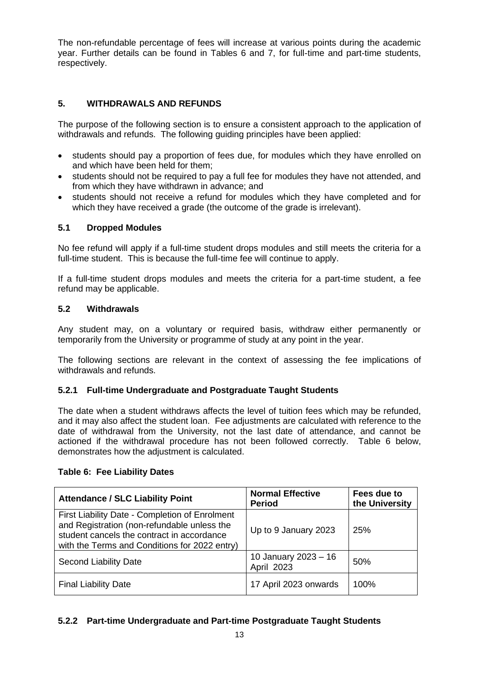The non-refundable percentage of fees will increase at various points during the academic year. Further details can be found in Tables 6 and 7, for full-time and part-time students, respectively.

# **5. WITHDRAWALS AND REFUNDS**

The purpose of the following section is to ensure a consistent approach to the application of withdrawals and refunds. The following guiding principles have been applied:

- students should pay a proportion of fees due, for modules which they have enrolled on and which have been held for them;
- students should not be required to pay a full fee for modules they have not attended, and from which they have withdrawn in advance; and
- students should not receive a refund for modules which they have completed and for which they have received a grade (the outcome of the grade is irrelevant).

# **5.1 Dropped Modules**

No fee refund will apply if a full-time student drops modules and still meets the criteria for a full-time student. This is because the full-time fee will continue to apply.

If a full-time student drops modules and meets the criteria for a part-time student, a fee refund may be applicable.

# **5.2 Withdrawals**

Any student may, on a voluntary or required basis, withdraw either permanently or temporarily from the University or programme of study at any point in the year.

The following sections are relevant in the context of assessing the fee implications of withdrawals and refunds.

# **5.2.1 Full-time Undergraduate and Postgraduate Taught Students**

The date when a student withdraws affects the level of tuition fees which may be refunded, and it may also affect the student loan. Fee adjustments are calculated with reference to the date of withdrawal from the University, not the last date of attendance, and cannot be actioned if the withdrawal procedure has not been followed correctly. Table 6 below, demonstrates how the adjustment is calculated.

| <b>Attendance / SLC Liability Point</b>                                                                                                                                                      | <b>Normal Effective</b><br><b>Period</b> | Fees due to<br>the University |
|----------------------------------------------------------------------------------------------------------------------------------------------------------------------------------------------|------------------------------------------|-------------------------------|
| First Liability Date - Completion of Enrolment<br>and Registration (non-refundable unless the<br>student cancels the contract in accordance<br>with the Terms and Conditions for 2022 entry) | Up to 9 January 2023                     | 25%                           |
| Second Liability Date                                                                                                                                                                        | 10 January 2023 - 16<br>April 2023       | 50%                           |
| <b>Final Liability Date</b>                                                                                                                                                                  | 17 April 2023 onwards                    | 100%                          |

# **Table 6: Fee Liability Dates**

# **5.2.2 Part-time Undergraduate and Part-time Postgraduate Taught Students**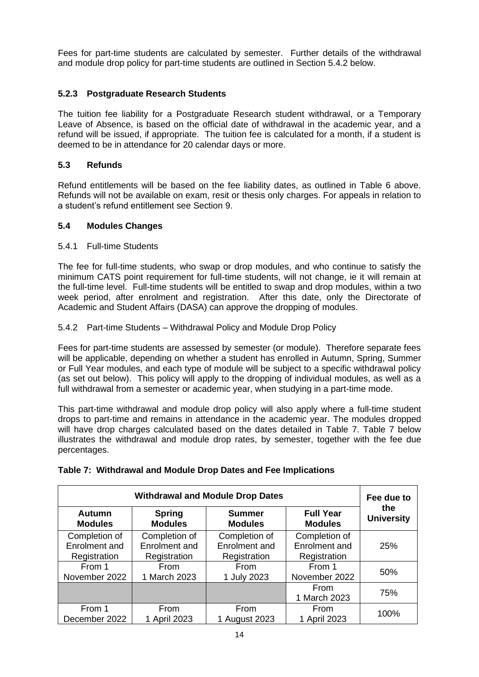Fees for part-time students are calculated by semester. Further details of the withdrawal and module drop policy for part-time students are outlined in Section 5.4.2 below.

# **5.2.3 Postgraduate Research Students**

The tuition fee liability for a Postgraduate Research student withdrawal, or a Temporary Leave of Absence, is based on the official date of withdrawal in the academic year, and a refund will be issued, if appropriate. The tuition fee is calculated for a month, if a student is deemed to be in attendance for 20 calendar days or more.

# **5.3 Refunds**

Refund entitlements will be based on the fee liability dates, as outlined in Table 6 above. Refunds will not be available on exam, resit or thesis only charges. For appeals in relation to a student's refund entitlement see Section 9.

#### **5.4 Modules Changes**

#### 5.4.1 Full-time Students

The fee for full-time students, who swap or drop modules, and who continue to satisfy the minimum CATS point requirement for full-time students, will not change, ie it will remain at the full-time level. Full-time students will be entitled to swap and drop modules, within a two week period, after enrolment and registration. After this date, only the Directorate of Academic and Student Affairs (DASA) can approve the dropping of modules.

#### 5.4.2 Part-time Students – Withdrawal Policy and Module Drop Policy

Fees for part-time students are assessed by semester (or module). Therefore separate fees will be applicable, depending on whether a student has enrolled in Autumn, Spring, Summer or Full Year modules, and each type of module will be subject to a specific withdrawal policy (as set out below). This policy will apply to the dropping of individual modules, as well as a full withdrawal from a semester or academic year, when studying in a part-time mode.

This part-time withdrawal and module drop policy will also apply where a full-time student drops to part-time and remains in attendance in the academic year. The modules dropped will have drop charges calculated based on the dates detailed in Table 7. Table 7 below illustrates the withdrawal and module drop rates, by semester, together with the fee due percentages.

| <b>Withdrawal and Module Drop Dates</b> |                |                |                      | Fee due to        |
|-----------------------------------------|----------------|----------------|----------------------|-------------------|
| <b>Autumn</b>                           | <b>Spring</b>  | <b>Summer</b>  | <b>Full Year</b>     | the               |
| <b>Modules</b>                          | <b>Modules</b> | <b>Modules</b> | <b>Modules</b>       | <b>University</b> |
| Completion of                           | Completion of  | Completion of  | Completion of        | 25%               |
| Enrolment and                           | Enrolment and  | Enrolment and  | Enrolment and        |                   |
| Registration                            | Registration   | Registration   | Registration         |                   |
| From 1                                  | From           | From           | From 1               | 50%               |
| November 2022                           | 1 March 2023   | 1 July 2023    | November 2022        |                   |
|                                         |                |                | From<br>1 March 2023 | 75%               |
| From 1                                  | From           | From           | From                 | 100%              |
| December 2022                           | 1 April 2023   | 1 August 2023  | 1 April 2023         |                   |

# **Table 7: Withdrawal and Module Drop Dates and Fee Implications**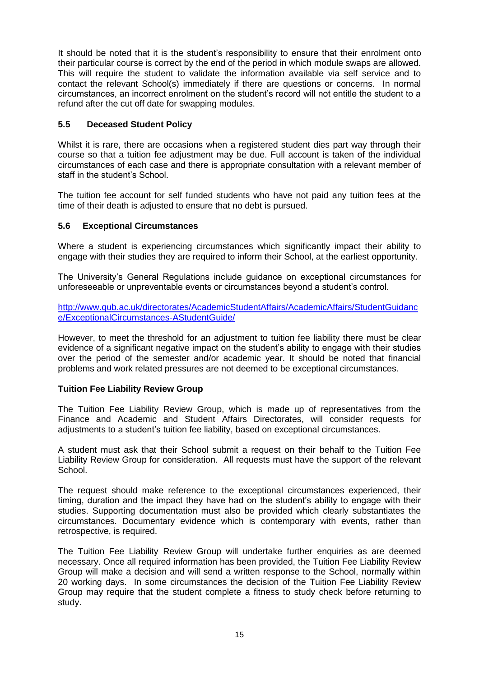It should be noted that it is the student's responsibility to ensure that their enrolment onto their particular course is correct by the end of the period in which module swaps are allowed. This will require the student to validate the information available via self service and to contact the relevant School(s) immediately if there are questions or concerns. In normal circumstances, an incorrect enrolment on the student's record will not entitle the student to a refund after the cut off date for swapping modules.

# **5.5 Deceased Student Policy**

Whilst it is rare, there are occasions when a registered student dies part way through their course so that a tuition fee adjustment may be due. Full account is taken of the individual circumstances of each case and there is appropriate consultation with a relevant member of staff in the student's School.

The tuition fee account for self funded students who have not paid any tuition fees at the time of their death is adjusted to ensure that no debt is pursued.

# **5.6 Exceptional Circumstances**

Where a student is experiencing circumstances which significantly impact their ability to engage with their studies they are required to inform their School, at the earliest opportunity.

The University's General Regulations include guidance on exceptional circumstances for unforeseeable or unpreventable events or circumstances beyond a student's control.

[http://www.qub.ac.uk/directorates/AcademicStudentAffairs/AcademicAffairs/StudentGuidanc](http://www.qub.ac.uk/directorates/AcademicStudentAffairs/AcademicAffairs/StudentGuidance/ExceptionalCircumstances-AStudentGuide/) [e/ExceptionalCircumstances-AStudentGuide/](http://www.qub.ac.uk/directorates/AcademicStudentAffairs/AcademicAffairs/StudentGuidance/ExceptionalCircumstances-AStudentGuide/)

However, to meet the threshold for an adjustment to tuition fee liability there must be clear evidence of a significant negative impact on the student's ability to engage with their studies over the period of the semester and/or academic year. It should be noted that financial problems and work related pressures are not deemed to be exceptional circumstances.

# **Tuition Fee Liability Review Group**

The Tuition Fee Liability Review Group, which is made up of representatives from the Finance and Academic and Student Affairs Directorates, will consider requests for adjustments to a student's tuition fee liability, based on exceptional circumstances.

A student must ask that their School submit a request on their behalf to the Tuition Fee Liability Review Group for consideration. All requests must have the support of the relevant School.

The request should make reference to the exceptional circumstances experienced, their timing, duration and the impact they have had on the student's ability to engage with their studies. Supporting documentation must also be provided which clearly substantiates the circumstances. Documentary evidence which is contemporary with events, rather than retrospective, is required.

The Tuition Fee Liability Review Group will undertake further enquiries as are deemed necessary. Once all required information has been provided, the Tuition Fee Liability Review Group will make a decision and will send a written response to the School, normally within 20 working days. In some circumstances the decision of the Tuition Fee Liability Review Group may require that the student complete a fitness to study check before returning to study.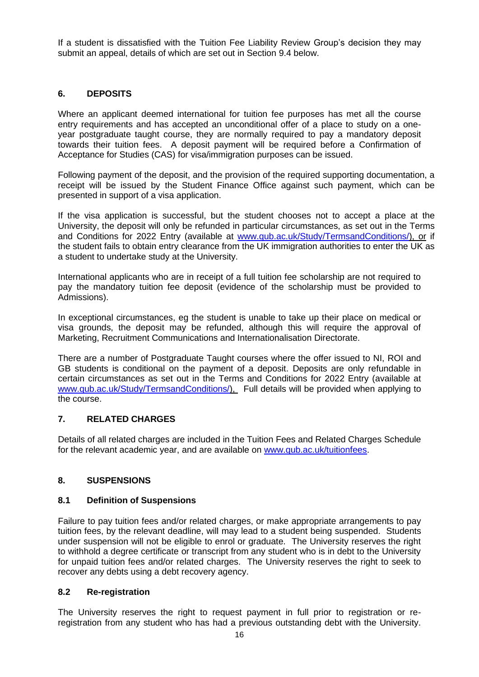If a student is dissatisfied with the Tuition Fee Liability Review Group's decision they may submit an appeal, details of which are set out in Section 9.4 below.

# **6. DEPOSITS**

Where an applicant deemed international for tuition fee purposes has met all the course entry requirements and has accepted an unconditional offer of a place to study on a oneyear postgraduate taught course, they are normally required to pay a mandatory deposit towards their tuition fees. A deposit payment will be required before a Confirmation of Acceptance for Studies (CAS) for visa/immigration purposes can be issued.

Following payment of the deposit, and the provision of the required supporting documentation, a receipt will be issued by the Student Finance Office against such payment, which can be presented in support of a visa application.

If the visa application is successful, but the student chooses not to accept a place at the University, the deposit will only be refunded in particular circumstances, as set out in the Terms and Conditions for 2022 Entry (available at [www.qub.ac.uk/Study/TermsandConditions/\)](http://www.qub.ac.uk/Study/TermsandConditions/), or if the student fails to obtain entry clearance from the UK immigration authorities to enter the UK as a student to undertake study at the University.

International applicants who are in receipt of a full tuition fee scholarship are not required to pay the mandatory tuition fee deposit (evidence of the scholarship must be provided to Admissions).

In exceptional circumstances, eg the student is unable to take up their place on medical or visa grounds, the deposit may be refunded, although this will require the approval of Marketing, Recruitment Communications and Internationalisation Directorate.

There are a number of Postgraduate Taught courses where the offer issued to NI, ROI and GB students is conditional on the payment of a deposit. Deposits are only refundable in certain circumstances as set out in the Terms and Conditions for 2022 Entry (available at [www.qub.ac.uk/Study/TermsandConditions/\)](http://www.qub.ac.uk/Study/TermsandConditions/), Full details will be provided when applying to the course.

# **7. RELATED CHARGES**

Details of all related charges are included in the Tuition Fees and Related Charges Schedule for the relevant academic year, and are available on [www.qub.ac.uk/tuitionfees.](http://www.qub.ac.uk/tuitionfees)

# **8. SUSPENSIONS**

# **8.1 Definition of Suspensions**

Failure to pay tuition fees and/or related charges, or make appropriate arrangements to pay tuition fees, by the relevant deadline, will may lead to a student being suspended. Students under suspension will not be eligible to enrol or graduate. The University reserves the right to withhold a degree certificate or transcript from any student who is in debt to the University for unpaid tuition fees and/or related charges. The University reserves the right to seek to recover any debts using a debt recovery agency.

# **8.2 Re-registration**

The University reserves the right to request payment in full prior to registration or reregistration from any student who has had a previous outstanding debt with the University.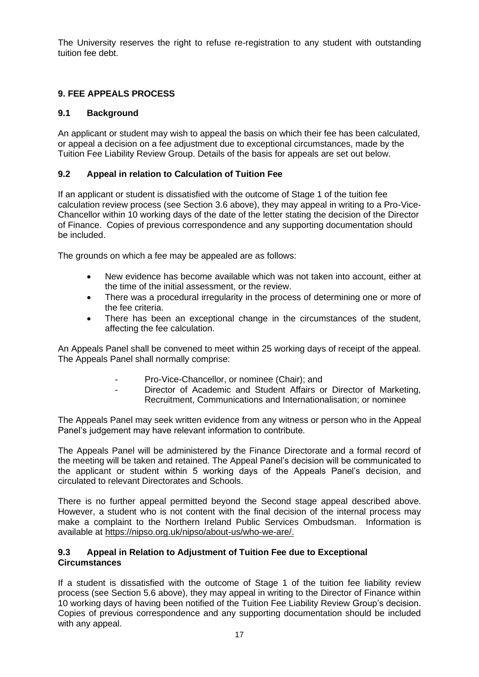The University reserves the right to refuse re-registration to any student with outstanding tuition fee debt.

# **9. FEE APPEALS PROCESS**

# **9.1 Background**

An applicant or student may wish to appeal the basis on which their fee has been calculated, or appeal a decision on a fee adjustment due to exceptional circumstances, made by the Tuition Fee Liability Review Group. Details of the basis for appeals are set out below.

# **9.2 Appeal in relation to Calculation of Tuition Fee**

If an applicant or student is dissatisfied with the outcome of Stage 1 of the tuition fee calculation review process (see Section 3.6 above), they may appeal in writing to a Pro-Vice-Chancellor within 10 working days of the date of the letter stating the decision of the Director of Finance. Copies of previous correspondence and any supporting documentation should be included.

The grounds on which a fee may be appealed are as follows:

- New evidence has become available which was not taken into account, either at the time of the initial assessment, or the review.
- There was a procedural irregularity in the process of determining one or more of the fee criteria.
- There has been an exceptional change in the circumstances of the student, affecting the fee calculation.

An Appeals Panel shall be convened to meet within 25 working days of receipt of the appeal. The Appeals Panel shall normally comprise:

- Pro-Vice-Chancellor, or nominee (Chair); and
	- Director of Academic and Student Affairs or Director of Marketing, Recruitment, Communications and Internationalisation; or nominee

The Appeals Panel may seek written evidence from any witness or person who in the Appeal Panel's judgement may have relevant information to contribute.

The Appeals Panel will be administered by the Finance Directorate and a formal record of the meeting will be taken and retained. The Appeal Panel's decision will be communicated to the applicant or student within 5 working days of the Appeals Panel's decision, and circulated to relevant Directorates and Schools.

There is no further appeal permitted beyond the Second stage appeal described above. However, a student who is not content with the final decision of the internal process may make a complaint to the Northern Ireland Public Services Ombudsman. Information is available at [https://nipso.org.uk/nipso/about-us/who-we-are/.](https://nipso.org.uk/nipso/about-us/who-we-are/)

# **9.3 Appeal in Relation to Adjustment of Tuition Fee due to Exceptional Circumstances**

If a student is dissatisfied with the outcome of Stage 1 of the tuition fee liability review process (see Section 5.6 above), they may appeal in writing to the Director of Finance within 10 working days of having been notified of the Tuition Fee Liability Review Group's decision. Copies of previous correspondence and any supporting documentation should be included with any appeal.